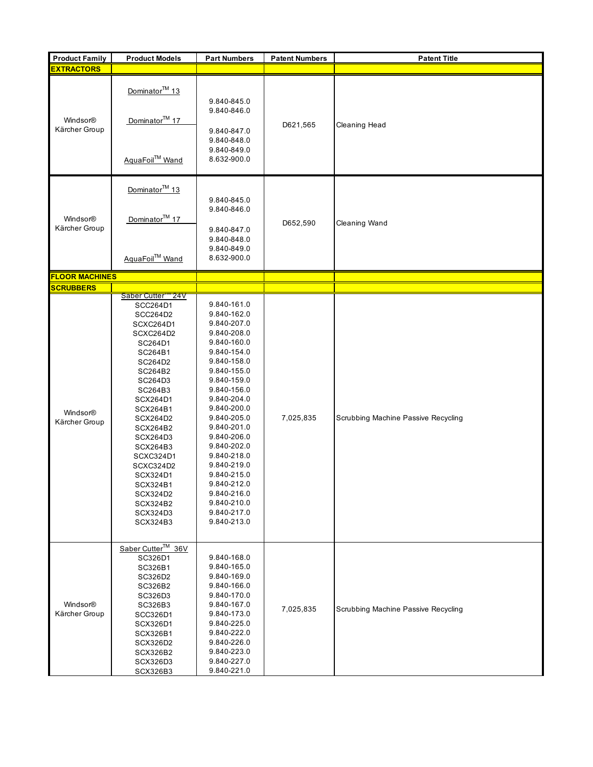| <b>Product Family</b>     | <b>Product Models</b>                                                                                                                                                                                                                                                                                           | <b>Part Numbers</b>                                                                                                                                                                                                                                                                                                                                                  | <b>Patent Numbers</b> | <b>Patent Title</b>                 |
|---------------------------|-----------------------------------------------------------------------------------------------------------------------------------------------------------------------------------------------------------------------------------------------------------------------------------------------------------------|----------------------------------------------------------------------------------------------------------------------------------------------------------------------------------------------------------------------------------------------------------------------------------------------------------------------------------------------------------------------|-----------------------|-------------------------------------|
| <b>EXTRACTORS</b>         |                                                                                                                                                                                                                                                                                                                 |                                                                                                                                                                                                                                                                                                                                                                      |                       |                                     |
| Windsor®<br>Kärcher Group | Dominator <sup>™</sup> 13<br>Dominator <sup>™</sup> 17<br>AquaFoil™ Wand                                                                                                                                                                                                                                        | 9.840-845.0<br>9.840-846.0<br>9.840-847.0<br>9.840-848.0<br>9.840-849.0<br>8.632-900.0                                                                                                                                                                                                                                                                               | D621,565              | Cleaning Head                       |
| Windsor®<br>Kärcher Group | Dominator <sup>™</sup> 13<br>Dominator <sup>™</sup> 17<br>AquaFoil™ Wand                                                                                                                                                                                                                                        | 9.840-845.0<br>9.840-846.0<br>9.840-847.0<br>9.840-848.0<br>9.840-849.0<br>8.632-900.0                                                                                                                                                                                                                                                                               | D652,590              | Cleaning Wand                       |
| <b>FLOOR MACHINES</b>     |                                                                                                                                                                                                                                                                                                                 |                                                                                                                                                                                                                                                                                                                                                                      |                       |                                     |
| <b>SCRUBBERS</b>          |                                                                                                                                                                                                                                                                                                                 |                                                                                                                                                                                                                                                                                                                                                                      |                       |                                     |
| Windsor®<br>Kärcher Group | Saber Cutter "24V<br>SCC264D1<br>SCC264D2<br>SCXC264D1<br>SCXC264D2<br>SC264D1<br>SC264B1<br>SC264D2<br>SC264B2<br>SC264D3<br>SC264B3<br>SCX264D1<br>SCX264B1<br>SCX264D2<br>SCX264B2<br>SCX264D3<br>SCX264B3<br>SCXC324D1<br>SCXC324D2<br>SCX324D1<br>SCX324B1<br>SCX324D2<br>SCX324B2<br>SCX324D3<br>SCX324B3 | 9.840-161.0<br>9.840-162.0<br>9.840-207.0<br>9.840-208.0<br>9.840-160.0<br>9.840-154.0<br>9.840-158.0<br>9.840-155.0<br>9.840-159.0<br>9.840-156.0<br>9.840-204.0<br>9.840-200.0<br>9.840-205.0<br>9.840-201.0<br>9.840-206.0<br>9.840-202.0<br>9.840-218.0<br>9.840-219.0<br>9.840-215.0<br>9.840-212.0<br>9.840-216.0<br>9.840-210.0<br>9.840-217.0<br>9.840-213.0 | 7,025,835             | Scrubbing Machine Passive Recycling |
| Windsor®<br>Kärcher Group | Saber Cutter™ 36V<br>SC326D1<br>SC326B1<br>SC326D2<br>SC326B2<br>SC326D3<br>SC326B3<br>SCC326D1<br>SCX326D1<br>SCX326B1<br>SCX326D2<br>SCX326B2<br>SCX326D3<br>SCX326B3                                                                                                                                         | 9.840-168.0<br>9.840-165.0<br>9.840-169.0<br>9.840-166.0<br>9.840-170.0<br>9.840-167.0<br>9.840-173.0<br>9.840-225.0<br>9.840-222.0<br>9.840-226.0<br>9.840-223.0<br>9.840-227.0<br>9.840-221.0                                                                                                                                                                      | 7,025,835             | Scrubbing Machine Passive Recycling |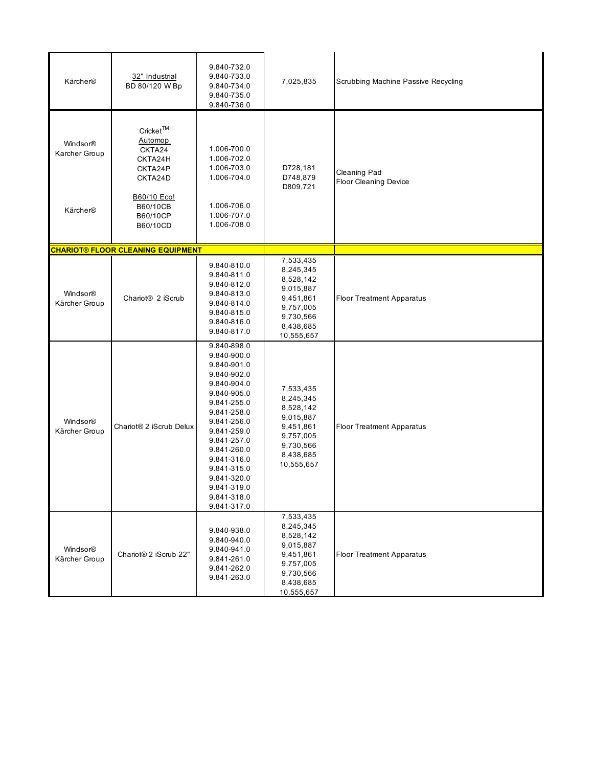| Kärcher®                  | 32" Industrial<br>BD 80/120 W Bp                                              | 9.840-732.0<br>9.840-733.0<br>9.840-734.0<br>9.840-735.0<br>9.840-736.0                                                                                                                                                                                                    | 7,025,835                                                                                                          | Scrubbing Machine Passive Recycling          |
|---------------------------|-------------------------------------------------------------------------------|----------------------------------------------------------------------------------------------------------------------------------------------------------------------------------------------------------------------------------------------------------------------------|--------------------------------------------------------------------------------------------------------------------|----------------------------------------------|
| Windsor®<br>Karcher Group | Cricket™<br>Automop<br>CKTA24<br>CKTA24H<br>CKTA24P<br>CKTA24D<br>B60/10 Eco! | 1.006-700.0<br>1.006-702.0<br>1.006-703.0<br>1.006-704.0                                                                                                                                                                                                                   | D728,181<br>D748,879<br>D809,721                                                                                   | Cleaning Pad<br><b>Floor Cleaning Device</b> |
| Kärcher®                  | B60/10CB<br>B60/10CP<br>B60/10CD                                              | 1.006-706.0<br>1.006-707.0<br>1.006-708.0                                                                                                                                                                                                                                  |                                                                                                                    |                                              |
|                           | <b>CHARIOT® FLOOR CLEANING EQUIPMENT</b>                                      |                                                                                                                                                                                                                                                                            |                                                                                                                    |                                              |
| Windsor®<br>Kärcher Group | Chariot <sup>®</sup> 2 iScrub                                                 | 9.840-810.0<br>9.840-811.0<br>9.840-812.0<br>9.840-813.0<br>9.840-814.0<br>9.840-815.0<br>9.840-816.0<br>9.840-817.0                                                                                                                                                       | 7,533,435<br>8,245,345<br>8,528,142<br>9,015,887<br>9,451,861<br>9,757,005<br>9,730,566<br>8,438,685<br>10,555,657 | <b>Floor Treatment Apparatus</b>             |
| Windsor®<br>Kärcher Group | Chariot® 2 iScrub Delux                                                       | 9.840-898.0<br>9.840-900.0<br>9.840-901.0<br>9.840-902.0<br>9.840-904.0<br>9.840-905.0<br>9.841-255.0<br>9.841-258.0<br>9.841-256.0<br>9.841-259.0<br>9.841-257.0<br>9.841-260.0<br>9.841-316.0<br>9.841-315.0<br>9.841-320.0<br>9.841-319.0<br>9.841-318.0<br>9.841-317.0 | 7,533,435<br>8,245,345<br>8,528,142<br>9,015,887<br>9,451,861<br>9,757,005<br>9,730,566<br>8,438,685<br>10,555,657 | <b>Floor Treatment Apparatus</b>             |
| Windsor®<br>Kärcher Group | Chariot® 2 iScrub 22"                                                         | 9.840-938.0<br>9.840-940.0<br>9.840-941.0<br>9.841-261.0<br>9.841-262.0<br>9.841-263.0                                                                                                                                                                                     | 7,533,435<br>8,245,345<br>8,528,142<br>9,015,887<br>9,451,861<br>9,757,005<br>9,730,566<br>8,438,685<br>10,555,657 | <b>Floor Treatment Apparatus</b>             |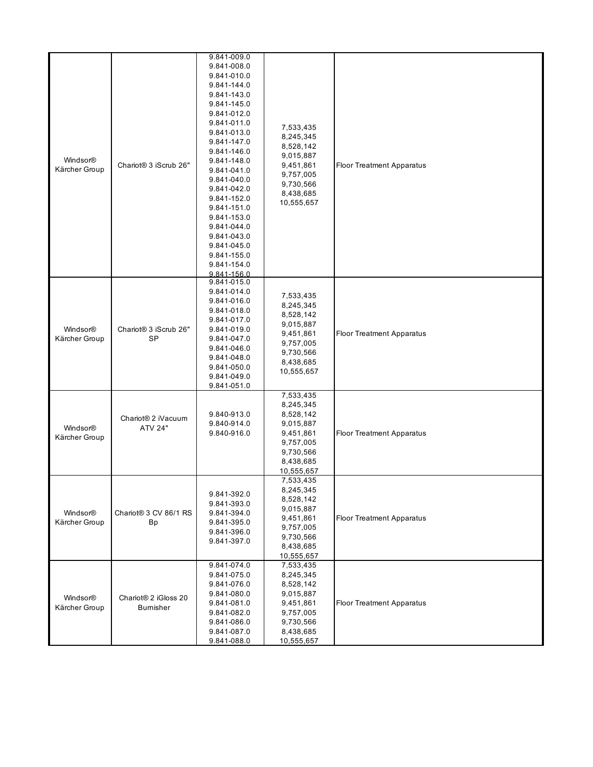|               |                                   | 9.841-009.0 |            |                                  |
|---------------|-----------------------------------|-------------|------------|----------------------------------|
|               |                                   |             |            |                                  |
|               |                                   | 9.841-008.0 |            |                                  |
|               |                                   | 9.841-010.0 |            |                                  |
|               |                                   | 9.841-144.0 |            |                                  |
|               |                                   | 9.841-143.0 |            |                                  |
|               |                                   | 9.841-145.0 |            |                                  |
|               |                                   |             |            |                                  |
|               |                                   | 9.841-012.0 |            |                                  |
|               |                                   | 9.841-011.0 | 7,533,435  |                                  |
|               |                                   | 9.841-013.0 |            |                                  |
|               |                                   | 9.841-147.0 | 8,245,345  |                                  |
|               |                                   | 9.841-146.0 | 8,528,142  |                                  |
| Windsor®      |                                   |             | 9,015,887  |                                  |
|               | Chariot <sup>®</sup> 3 iScrub 26" | 9.841-148.0 | 9,451,861  | <b>Floor Treatment Apparatus</b> |
| Kärcher Group |                                   | 9.841-041.0 | 9,757,005  |                                  |
|               |                                   | 9.841-040.0 | 9,730,566  |                                  |
|               |                                   | 9.841-042.0 |            |                                  |
|               |                                   | 9.841-152.0 | 8,438,685  |                                  |
|               |                                   |             | 10,555,657 |                                  |
|               |                                   | 9.841-151.0 |            |                                  |
|               |                                   | 9.841-153.0 |            |                                  |
|               |                                   | 9.841-044.0 |            |                                  |
|               |                                   | 9.841-043.0 |            |                                  |
|               |                                   | 9.841-045.0 |            |                                  |
|               |                                   | 9.841-155.0 |            |                                  |
|               |                                   |             |            |                                  |
|               |                                   | 9.841-154.0 |            |                                  |
|               |                                   | 9.841-156.0 |            |                                  |
|               |                                   | 9.841-015.0 |            |                                  |
|               |                                   | 9.841-014.0 |            |                                  |
|               |                                   | 9.841-016.0 | 7,533,435  |                                  |
|               |                                   | 9.841-018.0 | 8,245,345  |                                  |
|               |                                   |             | 8,528,142  |                                  |
|               |                                   | 9.841-017.0 | 9,015,887  |                                  |
| Windsor®      | Chariot <sup>®</sup> 3 iScrub 26" | 9.841-019.0 | 9,451,861  | <b>Floor Treatment Apparatus</b> |
| Kärcher Group | SP                                | 9.841-047.0 |            |                                  |
|               |                                   | 9.841-046.0 | 9,757,005  |                                  |
|               |                                   | 9.841-048.0 | 9,730,566  |                                  |
|               |                                   |             | 8,438,685  |                                  |
|               |                                   | 9.841-050.0 | 10,555,657 |                                  |
|               |                                   | 9.841-049.0 |            |                                  |
|               |                                   | 9.841-051.0 |            |                                  |
|               |                                   |             | 7,533,435  |                                  |
|               |                                   |             | 8,245,345  |                                  |
|               |                                   | 9.840-913.0 | 8,528,142  |                                  |
|               | Chariot <sup>®</sup> 2 iVacuum    |             |            |                                  |
| Windsor®      | <b>ATV 24"</b>                    | 9.840-914.0 | 9,015,887  |                                  |
| Kärcher Group |                                   | 9.840-916.0 | 9,451,861  | <b>Floor Treatment Apparatus</b> |
|               |                                   |             | 9,757,005  |                                  |
|               |                                   |             | 9,730,566  |                                  |
|               |                                   |             | 8,438,685  |                                  |
|               |                                   |             | 10,555,657 |                                  |
|               |                                   |             |            |                                  |
|               |                                   |             | 7,533,435  |                                  |
|               |                                   | 9.841-392.0 | 8,245,345  |                                  |
|               |                                   |             | 8,528,142  |                                  |
|               |                                   | 9.841-393.0 | 9,015,887  |                                  |
| Windsor®      | Chariot® 3 CV 86/1 RS             | 9.841-394.0 | 9,451,861  | <b>Floor Treatment Apparatus</b> |
| Kärcher Group | <b>Bp</b>                         | 9.841-395.0 |            |                                  |
|               |                                   | 9.841-396.0 | 9,757,005  |                                  |
|               |                                   | 9.841-397.0 | 9,730,566  |                                  |
|               |                                   |             | 8,438,685  |                                  |
|               |                                   |             | 10,555,657 |                                  |
|               |                                   | 9.841-074.0 | 7,533,435  |                                  |
|               |                                   | 9.841-075.0 | 8,245,345  |                                  |
|               |                                   |             |            |                                  |
|               |                                   | 9.841-076.0 | 8,528,142  |                                  |
| Windsor®      | Chariot <sup>®</sup> 2 iGloss 20  | 9.841-080.0 | 9,015,887  |                                  |
|               |                                   | 9.841-081.0 | 9,451,861  | <b>Floor Treatment Apparatus</b> |
| Kärcher Group | <b>Bumisher</b>                   | 9.841-082.0 | 9,757,005  |                                  |
|               |                                   | 9.841-086.0 | 9,730,566  |                                  |
|               |                                   |             |            |                                  |
|               |                                   | 9.841-087.0 | 8,438,685  |                                  |
|               |                                   | 9.841-088.0 | 10,555,657 |                                  |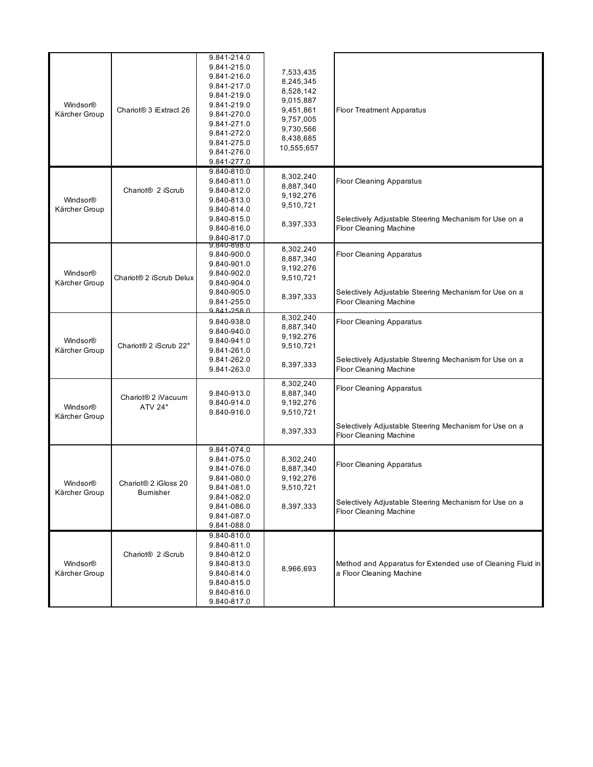| Windsor®<br>Kärcher Group | Chariot <sup>®</sup> 3 iExtract 26               | 9.841-214.0<br>9.841-215.0<br>9.841-216.0<br>9.841-217.0<br>9.841-219.0<br>9.841-219.0<br>9.841-270.0<br>9.841-271.0<br>9.841-272.0<br>9.841-275.0<br>9.841-276.0<br>9.841-277.0 | 7,533,435<br>8,245,345<br>8,528,142<br>9,015,887<br>9,451,861<br>9,757,005<br>9,730,566<br>8,438,685<br>10,555,657 | <b>Floor Treatment Apparatus</b>                                                                                           |
|---------------------------|--------------------------------------------------|----------------------------------------------------------------------------------------------------------------------------------------------------------------------------------|--------------------------------------------------------------------------------------------------------------------|----------------------------------------------------------------------------------------------------------------------------|
| Windsor®<br>Kärcher Group | Chariot <sup>®</sup> 2 iScrub                    | 9.840-810.0<br>9.840-811.0<br>9.840-812.0<br>9.840-813.0<br>9.840-814.0<br>9.840-815.0<br>9.840-816.0<br>9.840-817.0                                                             | 8,302,240<br>8,887,340<br>9,192,276<br>9,510,721<br>8,397,333                                                      | <b>Floor Cleaning Apparatus</b><br>Selectively Adjustable Steering Mechanism for Use on a<br><b>Floor Cleaning Machine</b> |
| Windsor®<br>Kärcher Group | Chariot <sup>®</sup> 2 iScrub Delux              | 9.840-898.0<br>9.840-900.0<br>9.840-901.0<br>9.840-902.0<br>9.840-904.0<br>9.840-905.0<br>9.841-255.0<br>Q 841-258 0                                                             | 8,302,240<br>8,887,340<br>9,192,276<br>9,510,721<br>8,397,333                                                      | <b>Floor Cleaning Apparatus</b><br>Selectively Adjustable Steering Mechanism for Use on a<br><b>Floor Cleaning Machine</b> |
| Windsor®<br>Kärcher Group | Chariot <sup>®</sup> 2 iScrub 22"                | 9.840-938.0<br>9.840-940.0<br>9.840-941.0<br>9.841-261.0<br>9.841-262.0<br>9.841-263.0                                                                                           | 8,302,240<br>8,887,340<br>9,192,276<br>9,510,721<br>8,397,333                                                      | <b>Floor Cleaning Apparatus</b><br>Selectively Adjustable Steering Mechanism for Use on a<br>Floor Cleaning Machine        |
| Windsor®<br>Kärcher Group | Chariot <sup>®</sup> 2 iVacuum<br><b>ATV 24"</b> | 9.840-913.0<br>9.840-914.0<br>9.840-916.0                                                                                                                                        | 8,302,240<br>8,887,340<br>9,192,276<br>9,510,721<br>8,397,333                                                      | <b>Floor Cleaning Apparatus</b><br>Selectively Adjustable Steering Mechanism for Use on a<br><b>Floor Cleaning Machine</b> |
| Windsor®<br>Kärcher Group | Chariot® 2 iGloss 20<br>Bumisher                 | 9.841-074.0<br>9.841-075.0<br>9.841-076.0<br>9.841-080.0<br>9.841-081.0<br>9.841-082.0<br>9.841-086.0<br>9.841-087.0<br>9.841-088.0                                              | 8,302,240<br>8,887,340<br>9,192,276<br>9,510,721<br>8,397,333                                                      | <b>Floor Cleaning Apparatus</b><br>Selectively Adjustable Steering Mechanism for Use on a<br><b>Floor Cleaning Machine</b> |
| Windsor®<br>Kärcher Group | Chariot <sup>®</sup> 2 iScrub                    | 9.840-810.0<br>9.840-811.0<br>9.840-812.0<br>9.840-813.0<br>9.840-814.0<br>9.840-815.0<br>9.840-816.0<br>9.840-817.0                                                             | 8,966,693                                                                                                          | Method and Apparatus for Extended use of Cleaning Fluid in<br>a Floor Cleaning Machine                                     |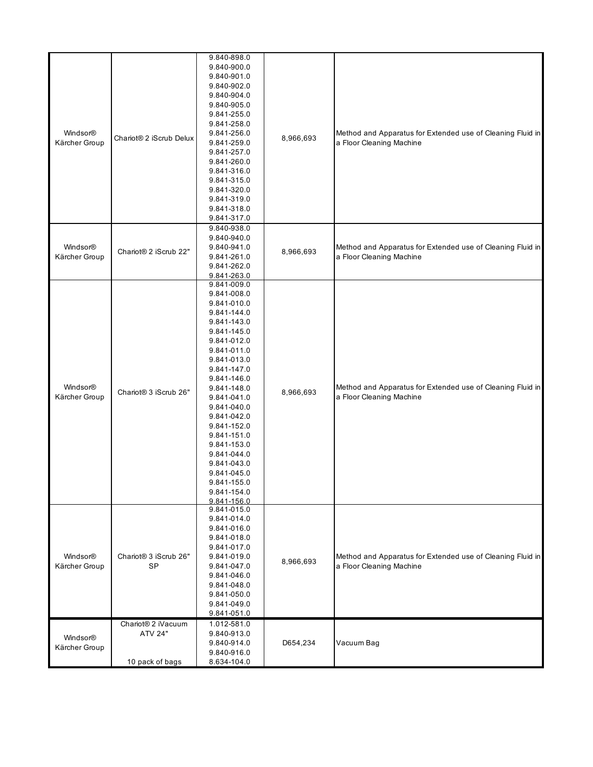|               |                                   | 9.840-898.0 |           |                                                                                        |
|---------------|-----------------------------------|-------------|-----------|----------------------------------------------------------------------------------------|
|               |                                   | 9.840-900.0 |           |                                                                                        |
|               |                                   | 9.840-901.0 |           |                                                                                        |
|               |                                   | 9.840-902.0 |           |                                                                                        |
|               |                                   | 9.840-904.0 |           |                                                                                        |
|               |                                   | 9.840-905.0 |           |                                                                                        |
|               |                                   | 9.841-255.0 |           |                                                                                        |
|               |                                   | 9.841-258.0 |           |                                                                                        |
| Windsor®      |                                   | 9.841-256.0 |           | Method and Apparatus for Extended use of Cleaning Fluid in                             |
| Kärcher Group | Chariot® 2 iScrub Delux           | 9.841-259.0 | 8,966,693 | a Floor Cleaning Machine                                                               |
|               |                                   | 9.841-257.0 |           |                                                                                        |
|               |                                   | 9.841-260.0 |           |                                                                                        |
|               |                                   | 9.841-316.0 |           |                                                                                        |
|               |                                   | 9.841-315.0 |           |                                                                                        |
|               |                                   | 9.841-320.0 |           |                                                                                        |
|               |                                   | 9.841-319.0 |           |                                                                                        |
|               |                                   | 9.841-318.0 |           |                                                                                        |
|               |                                   | 9.841-317.0 |           |                                                                                        |
|               |                                   | 9.840-938.0 |           |                                                                                        |
|               |                                   | 9.840-940.0 |           |                                                                                        |
| Windsor®      |                                   | 9.840-941.0 |           | Method and Apparatus for Extended use of Cleaning Fluid in                             |
| Kärcher Group | Chariot® 2 iScrub 22"             | 9.841-261.0 | 8,966,693 | a Floor Cleaning Machine                                                               |
|               |                                   | 9.841-262.0 |           |                                                                                        |
|               |                                   | 9.841-263.0 |           |                                                                                        |
|               |                                   | 9.841-009.0 |           |                                                                                        |
|               |                                   | 9.841-008.0 |           |                                                                                        |
|               |                                   | 9.841-010.0 |           | Method and Apparatus for Extended use of Cleaning Fluid in<br>a Floor Cleaning Machine |
|               |                                   | 9.841-144.0 |           |                                                                                        |
|               |                                   | 9.841-143.0 |           |                                                                                        |
|               | Chariot® 3 iScrub 26"             | 9.841-145.0 |           |                                                                                        |
|               |                                   | 9.841-012.0 |           |                                                                                        |
|               |                                   | 9.841-011.0 |           |                                                                                        |
|               |                                   | 9.841-013.0 |           |                                                                                        |
|               |                                   | 9.841-147.0 |           |                                                                                        |
|               |                                   | 9.841-146.0 | 8,966,693 |                                                                                        |
| Windsor®      |                                   | 9.841-148.0 |           |                                                                                        |
| Kärcher Group |                                   | 9.841-041.0 |           |                                                                                        |
|               |                                   | 9.841-040.0 |           |                                                                                        |
|               |                                   | 9.841-042.0 |           |                                                                                        |
|               |                                   | 9.841-152.0 |           |                                                                                        |
|               |                                   | 9.841-151.0 |           |                                                                                        |
|               |                                   | 9.841-153.0 |           |                                                                                        |
|               |                                   | 9.841-044.0 |           |                                                                                        |
|               |                                   | 9.841-043.0 |           |                                                                                        |
|               |                                   | 9.841-045.0 |           |                                                                                        |
|               |                                   | 9.841-155.0 |           |                                                                                        |
|               |                                   | 9.841-154.0 |           |                                                                                        |
|               |                                   | 9.841-156.0 |           |                                                                                        |
|               |                                   | 9.841-015.0 |           |                                                                                        |
|               |                                   | 9.841-014.0 |           |                                                                                        |
|               |                                   | 9.841-016.0 |           |                                                                                        |
|               |                                   | 9.841-018.0 |           |                                                                                        |
|               |                                   | 9.841-017.0 |           |                                                                                        |
| Windsor®      | Chariot <sup>®</sup> 3 iScrub 26" | 9.841-019.0 |           | Method and Apparatus for Extended use of Cleaning Fluid in                             |
| Kärcher Group | <b>SP</b>                         | 9.841-047.0 | 8,966,693 | a Floor Cleaning Machine                                                               |
|               |                                   | 9.841-046.0 |           |                                                                                        |
|               |                                   | 9.841-048.0 |           |                                                                                        |
|               |                                   | 9.841-050.0 |           |                                                                                        |
|               |                                   | 9.841-049.0 |           |                                                                                        |
|               |                                   | 9.841-051.0 |           |                                                                                        |
|               | Chariot <sup>®</sup> 2 iVacuum    | 1.012-581.0 |           |                                                                                        |
|               | <b>ATV 24"</b>                    | 9.840-913.0 |           |                                                                                        |
| Windsor®      |                                   | 9.840-914.0 | D654,234  | Vacuum Bag                                                                             |
| Kärcher Group |                                   | 9.840-916.0 |           |                                                                                        |
|               | 10 pack of bags                   | 8.634-104.0 |           |                                                                                        |
|               |                                   |             |           |                                                                                        |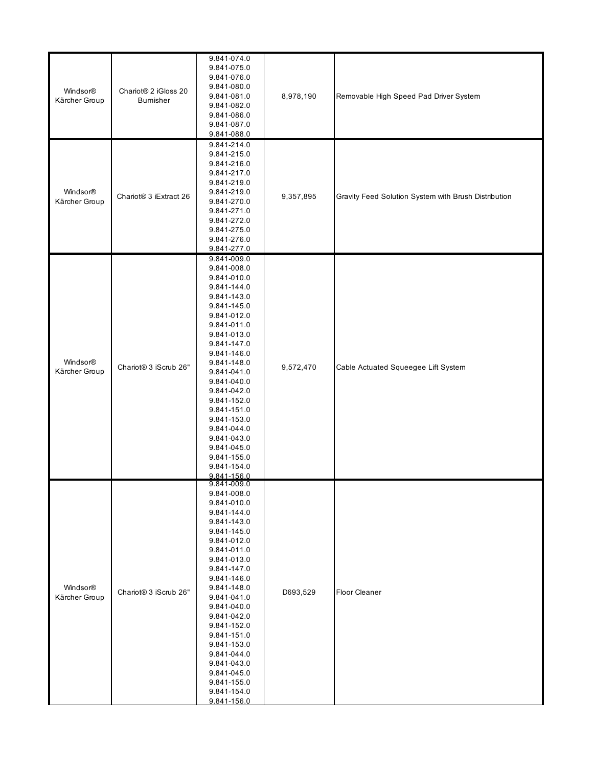| Windsor®<br>Kärcher Group | Chariot® 2 iGloss 20<br>Bumisher | 9.841-074.0<br>9.841-075.0<br>9.841-076.0<br>9.841-080.0<br>9.841-081.0<br>9.841-082.0<br>9.841-086.0<br>9.841-087.0<br>9.841-088.0                                                                                                                                                                                                                                  | 8,978,190 | Removable High Speed Pad Driver System               |
|---------------------------|----------------------------------|----------------------------------------------------------------------------------------------------------------------------------------------------------------------------------------------------------------------------------------------------------------------------------------------------------------------------------------------------------------------|-----------|------------------------------------------------------|
| Windsor®<br>Kärcher Group | Chariot® 3 iExtract 26           | 9.841-214.0<br>9.841-215.0<br>9.841-216.0<br>9.841-217.0<br>9.841-219.0<br>9.841-219.0<br>9.841-270.0<br>9.841-271.0<br>9.841-272.0<br>9.841-275.0<br>9.841-276.0<br>9.841-277.0                                                                                                                                                                                     | 9,357,895 | Gravity Feed Solution System with Brush Distribution |
| Windsor®<br>Kärcher Group | Chariot® 3 iScrub 26"            | 9.841-009.0<br>9.841-008.0<br>9.841-010.0<br>9.841-144.0<br>9.841-143.0<br>9.841-145.0<br>9.841-012.0<br>9.841-011.0<br>9.841-013.0<br>9.841-147.0<br>9.841-146.0<br>9.841-148.0<br>9.841-041.0<br>9.841-040.0<br>9.841-042.0<br>9.841-152.0<br>9.841-151.0<br>9.841-153.0<br>9.841-044.0<br>9.841-043.0<br>9.841-045.0<br>9.841-155.0<br>9.841-154.0<br>9.841-156.0 | 9,572,470 | Cable Actuated Squeegee Lift System                  |
| Windsor®<br>Kärcher Group | Chariot® 3 iScrub 26"            | 9.841-009.0<br>9.841-008.0<br>9.841-010.0<br>9.841-144.0<br>9.841-143.0<br>9.841-145.0<br>9.841-012.0<br>9.841-011.0<br>9.841-013.0<br>9.841-147.0<br>9.841-146.0<br>9.841-148.0<br>9.841-041.0<br>9.841-040.0<br>9.841-042.0<br>9.841-152.0<br>9.841-151.0<br>9.841-153.0<br>9.841-044.0<br>9.841-043.0<br>9.841-045.0<br>9.841-155.0<br>9.841-154.0<br>9.841-156.0 | D693,529  | <b>Floor Cleaner</b>                                 |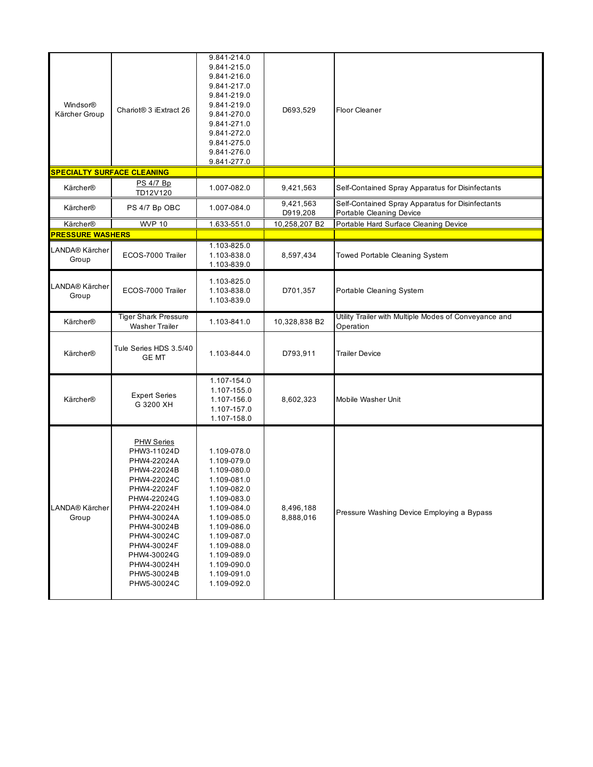| Windsor®<br>Kärcher Group         | Chariot <sup>®</sup> 3 iExtract 26                                                                                                                                                                                                                 | 9.841-214.0<br>9.841-215.0<br>9.841-216.0<br>9.841-217.0<br>9.841-219.0<br>9.841-219.0<br>9.841-270.0<br>9.841-271.0<br>9.841-272.0<br>9.841-275.0<br>9.841-276.0<br>9.841-277.0                                              | D693,529               | <b>Floor Cleaner</b>                                                         |
|-----------------------------------|----------------------------------------------------------------------------------------------------------------------------------------------------------------------------------------------------------------------------------------------------|-------------------------------------------------------------------------------------------------------------------------------------------------------------------------------------------------------------------------------|------------------------|------------------------------------------------------------------------------|
| <b>SPECIALTY SURFACE CLEANING</b> |                                                                                                                                                                                                                                                    |                                                                                                                                                                                                                               |                        |                                                                              |
| Kärcher®                          | PS 4/7 Bp<br>TD12V120                                                                                                                                                                                                                              | 1.007-082.0                                                                                                                                                                                                                   | 9,421,563              | Self-Contained Spray Apparatus for Disinfectants                             |
| Kärcher®                          | PS 4/7 Bp OBC                                                                                                                                                                                                                                      | 1.007-084.0                                                                                                                                                                                                                   | 9,421,563<br>D919,208  | Self-Contained Spray Apparatus for Disinfectants<br>Portable Cleaning Device |
| Kärcher®                          | <b>WVP 10</b>                                                                                                                                                                                                                                      | 1.633-551.0                                                                                                                                                                                                                   | 10,258,207 B2          | Portable Hard Surface Cleaning Device                                        |
| <b>PRESSURE WASHERS</b>           |                                                                                                                                                                                                                                                    |                                                                                                                                                                                                                               |                        |                                                                              |
| LANDA® Kärcher<br>Group           | ECOS-7000 Trailer                                                                                                                                                                                                                                  | 1.103-825.0<br>1.103-838.0<br>1.103-839.0                                                                                                                                                                                     | 8,597,434              | <b>Towed Portable Cleaning System</b>                                        |
| LANDA® Kärcher<br>Group           | ECOS-7000 Trailer                                                                                                                                                                                                                                  | 1.103-825.0<br>1.103-838.0<br>1.103-839.0                                                                                                                                                                                     | D701,357               | Portable Cleaning System                                                     |
| Kärcher®                          | <b>Tiger Shark Pressure</b><br><b>Washer Trailer</b>                                                                                                                                                                                               | 1.103-841.0                                                                                                                                                                                                                   | 10,328,838 B2          | Utility Trailer with Multiple Modes of Conveyance and<br>Operation           |
| Kärcher®                          | Tule Series HDS 3.5/40<br><b>GE MT</b>                                                                                                                                                                                                             | 1.103-844.0                                                                                                                                                                                                                   | D793,911               | <b>Trailer Device</b>                                                        |
| Kärcher®                          | <b>Expert Series</b><br>G 3200 XH                                                                                                                                                                                                                  | 1.107-154.0<br>1.107-155.0<br>1.107-156.0<br>1.107-157.0<br>1.107-158.0                                                                                                                                                       | 8,602,323              | Mobile Washer Unit                                                           |
| LANDA® Kärcher<br>Group           | <b>PHW Series</b><br>PHW3-11024D<br>PHW4-22024A<br>PHW4-22024B<br>PHW4-22024C<br>PHW4-22024F<br>PHW4-22024G<br>PHW4-22024H<br>PHW4-30024A<br>PHW4-30024B<br>PHW4-30024C<br>PHW4-30024F<br>PHW4-30024G<br>PHW4-30024H<br>PHW5-30024B<br>PHW5-30024C | 1.109-078.0<br>1.109-079.0<br>1.109-080.0<br>1.109-081.0<br>1.109-082.0<br>1.109-083.0<br>1.109-084.0<br>1.109-085.0<br>1.109-086.0<br>1.109-087.0<br>1.109-088.0<br>1.109-089.0<br>1.109-090.0<br>1.109-091.0<br>1.109-092.0 | 8,496,188<br>8,888,016 | Pressure Washing Device Employing a Bypass                                   |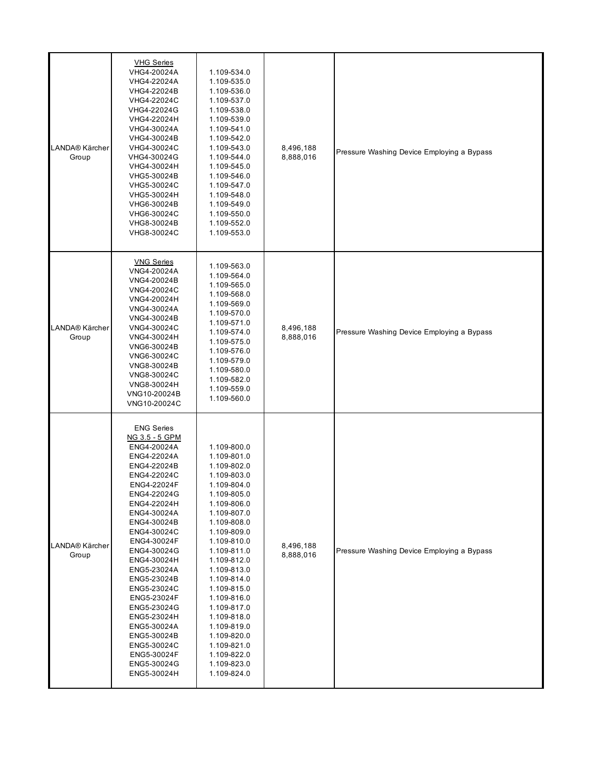| LANDA® Kärcher<br>Group | <b>VHG Series</b><br>VHG4-20024A<br>VHG4-22024A<br>VHG4-22024B<br>VHG4-22024C<br>VHG4-22024G<br>VHG4-22024H<br>VHG4-30024A<br>VHG4-30024B<br>VHG4-30024C<br>VHG4-30024G<br>VHG4-30024H<br>VHG5-30024B<br>VHG5-30024C<br>VHG5-30024H<br>VHG6-30024B<br>VHG6-30024C<br>VHG8-30024B<br>VHG8-30024C                                                                                                                            | 1.109-534.0<br>1.109-535.0<br>1.109-536.0<br>1.109-537.0<br>1.109-538.0<br>1.109-539.0<br>1.109-541.0<br>1.109-542.0<br>1.109-543.0<br>1.109-544.0<br>1.109-545.0<br>1.109-546.0<br>1.109-547.0<br>1.109-548.0<br>1.109-549.0<br>1.109-550.0<br>1.109-552.0<br>1.109-553.0                                                                                                          | 8,496,188<br>8,888,016 | Pressure Washing Device Employing a Bypass |
|-------------------------|----------------------------------------------------------------------------------------------------------------------------------------------------------------------------------------------------------------------------------------------------------------------------------------------------------------------------------------------------------------------------------------------------------------------------|-------------------------------------------------------------------------------------------------------------------------------------------------------------------------------------------------------------------------------------------------------------------------------------------------------------------------------------------------------------------------------------|------------------------|--------------------------------------------|
| LANDA® Kärcher<br>Group | <b>VNG Series</b><br>VNG4-20024A<br>VNG4-20024B<br>VNG4-20024C<br>VNG4-20024H<br>VNG4-30024A<br>VNG4-30024B<br>VNG4-30024C<br>VNG4-30024H<br>VNG6-30024B<br>VNG6-30024C<br>VNG8-30024B<br>VNG8-30024C<br>VNG8-30024H<br>VNG10-20024B<br>VNG10-20024C                                                                                                                                                                       | 1.109-563.0<br>1.109-564.0<br>1.109-565.0<br>1.109-568.0<br>1.109-569.0<br>1.109-570.0<br>1.109-571.0<br>1.109-574.0<br>1.109-575.0<br>1.109-576.0<br>1.109-579.0<br>1.109-580.0<br>1.109-582.0<br>1.109-559.0<br>1.109-560.0                                                                                                                                                       | 8,496,188<br>8,888,016 | Pressure Washing Device Employing a Bypass |
| LANDA® Kärcher<br>Group | <b>ENG Series</b><br>NG 3.5 - 5 GPM<br>ENG4-20024A<br>ENG4-22024A<br>ENG4-22024B<br>ENG4-22024C<br>ENG4-22024F<br>ENG4-22024G<br>ENG4-22024H<br>ENG4-30024A<br>ENG4-30024B<br>ENG4-30024C<br>ENG4-30024F<br>ENG4-30024G<br>ENG4-30024H<br>ENG5-23024A<br>ENG5-23024B<br>ENG5-23024C<br>ENG5-23024F<br>ENG5-23024G<br>ENG5-23024H<br>ENG5-30024A<br>ENG5-30024B<br>ENG5-30024C<br>ENG5-30024F<br>ENG5-30024G<br>ENG5-30024H | 1.109-800.0<br>1.109-801.0<br>1.109-802.0<br>1.109-803.0<br>1.109-804.0<br>1.109-805.0<br>1.109-806.0<br>1.109-807.0<br>1.109-808.0<br>1.109-809.0<br>1.109-810.0<br>1.109-811.0<br>1.109-812.0<br>1.109-813.0<br>1.109-814.0<br>1.109-815.0<br>1.109-816.0<br>1.109-817.0<br>1.109-818.0<br>1.109-819.0<br>1.109-820.0<br>1.109-821.0<br>1.109-822.0<br>1.109-823.0<br>1.109-824.0 | 8,496,188<br>8,888,016 | Pressure Washing Device Employing a Bypass |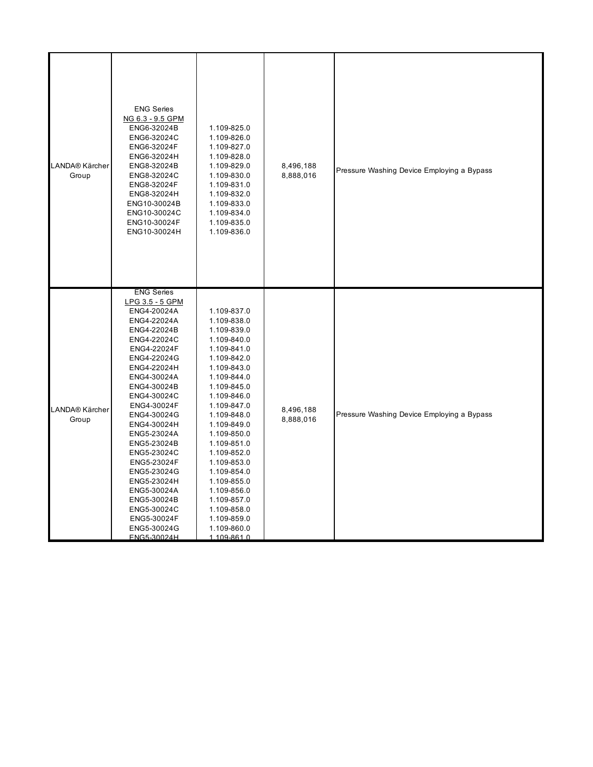| LANDA® Kärcher<br>Group | <b>ENG Series</b><br>NG 6.3 - 9.5 GPM<br>ENG6-32024B<br>ENG6-32024C<br>ENG6-32024F<br>ENG6-32024H<br>ENG8-32024B<br>ENG8-32024C<br>ENG8-32024F<br>ENG8-32024H<br>ENG10-30024B<br>ENG10-30024C<br>ENG10-30024F<br>ENG10-30024H                                                                                                                                                                                               | 1.109-825.0<br>1.109-826.0<br>1.109-827.0<br>1.109-828.0<br>1.109-829.0<br>1.109-830.0<br>1.109-831.0<br>1.109-832.0<br>1.109-833.0<br>1.109-834.0<br>1.109-835.0<br>1.109-836.0                                                                                                                                                                                                    | 8,496,188<br>8,888,016 | Pressure Washing Device Employing a Bypass |
|-------------------------|-----------------------------------------------------------------------------------------------------------------------------------------------------------------------------------------------------------------------------------------------------------------------------------------------------------------------------------------------------------------------------------------------------------------------------|-------------------------------------------------------------------------------------------------------------------------------------------------------------------------------------------------------------------------------------------------------------------------------------------------------------------------------------------------------------------------------------|------------------------|--------------------------------------------|
| LANDA® Kärcher<br>Group | <b>ENG Series</b><br>LPG 3.5 - 5 GPM<br>ENG4-20024A<br>ENG4-22024A<br>ENG4-22024B<br>ENG4-22024C<br>ENG4-22024F<br>ENG4-22024G<br>ENG4-22024H<br>ENG4-30024A<br>ENG4-30024B<br>ENG4-30024C<br>ENG4-30024F<br>ENG4-30024G<br>ENG4-30024H<br>ENG5-23024A<br>ENG5-23024B<br>ENG5-23024C<br>ENG5-23024F<br>ENG5-23024G<br>ENG5-23024H<br>ENG5-30024A<br>ENG5-30024B<br>ENG5-30024C<br>ENG5-30024F<br>ENG5-30024G<br>FNG5-30024H | 1.109-837.0<br>1.109-838.0<br>1.109-839.0<br>1.109-840.0<br>1.109-841.0<br>1.109-842.0<br>1.109-843.0<br>1.109-844.0<br>1.109-845.0<br>1.109-846.0<br>1.109-847.0<br>1.109-848.0<br>1.109-849.0<br>1.109-850.0<br>1.109-851.0<br>1.109-852.0<br>1.109-853.0<br>1.109-854.0<br>1.109-855.0<br>1.109-856.0<br>1.109-857.0<br>1.109-858.0<br>1.109-859.0<br>1.109-860.0<br>1 109-861 0 | 8,496,188<br>8,888,016 | Pressure Washing Device Employing a Bypass |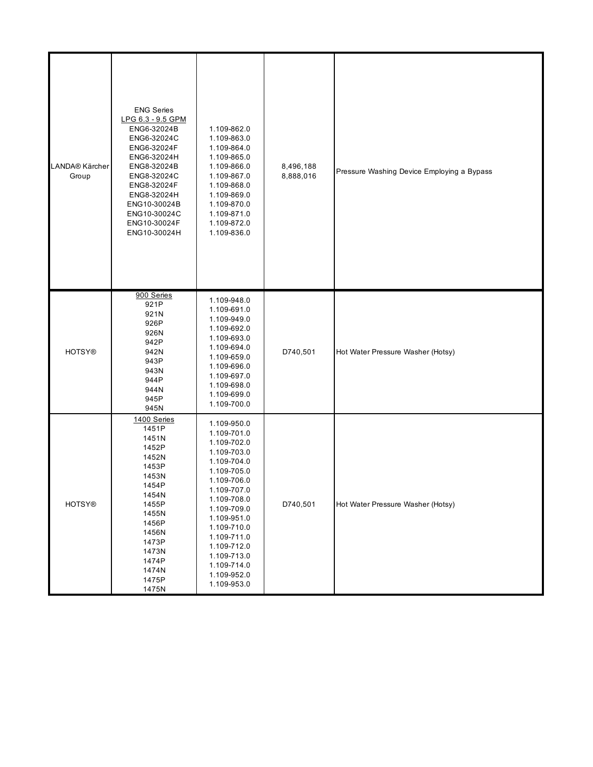| LANDA® Kärcher<br>Group | <b>ENG Series</b><br>LPG 6.3 - 9.5 GPM<br>ENG6-32024B<br>ENG6-32024C<br>ENG6-32024F<br>ENG6-32024H<br>ENG8-32024B<br>ENG8-32024C<br>ENG8-32024F<br>ENG8-32024H<br>ENG10-30024B<br>ENG10-30024C<br>ENG10-30024F<br>ENG10-30024H | 1.109-862.0<br>1.109-863.0<br>1.109-864.0<br>1.109-865.0<br>1.109-866.0<br>1.109-867.0<br>1.109-868.0<br>1.109-869.0<br>1.109-870.0<br>1.109-871.0<br>1.109-872.0<br>1.109-836.0                                                                                           | 8,496,188<br>8,888,016 | Pressure Washing Device Employing a Bypass |
|-------------------------|--------------------------------------------------------------------------------------------------------------------------------------------------------------------------------------------------------------------------------|----------------------------------------------------------------------------------------------------------------------------------------------------------------------------------------------------------------------------------------------------------------------------|------------------------|--------------------------------------------|
| <b>HOTSY®</b>           | 900 Series<br>921P<br>921N<br>926P<br>926N<br>942P<br>942N<br>943P<br>943N<br>944P<br>944N<br>945P<br>945N                                                                                                                     | 1.109-948.0<br>1.109-691.0<br>1.109-949.0<br>1.109-692.0<br>1.109-693.0<br>1.109-694.0<br>1.109-659.0<br>1.109-696.0<br>1.109-697.0<br>1.109-698.0<br>1.109-699.0<br>1.109-700.0                                                                                           | D740,501               | Hot Water Pressure Washer (Hotsy)          |
| <b>HOTSY®</b>           | 1400 Series<br>1451P<br>1451N<br>1452P<br>1452N<br>1453P<br>1453N<br>1454P<br>1454N<br>1455P<br>1455N<br>1456P<br>1456N<br>1473P<br>1473N<br>1474P<br>1474N<br>1475P<br>1475N                                                  | 1.109-950.0<br>1.109-701.0<br>1.109-702.0<br>1.109-703.0<br>1.109-704.0<br>1.109-705.0<br>1.109-706.0<br>1.109-707.0<br>1.109-708.0<br>1.109-709.0<br>1.109-951.0<br>1.109-710.0<br>1.109-711.0<br>1.109-712.0<br>1.109-713.0<br>1.109-714.0<br>1.109-952.0<br>1.109-953.0 | D740,501               | Hot Water Pressure Washer (Hotsy)          |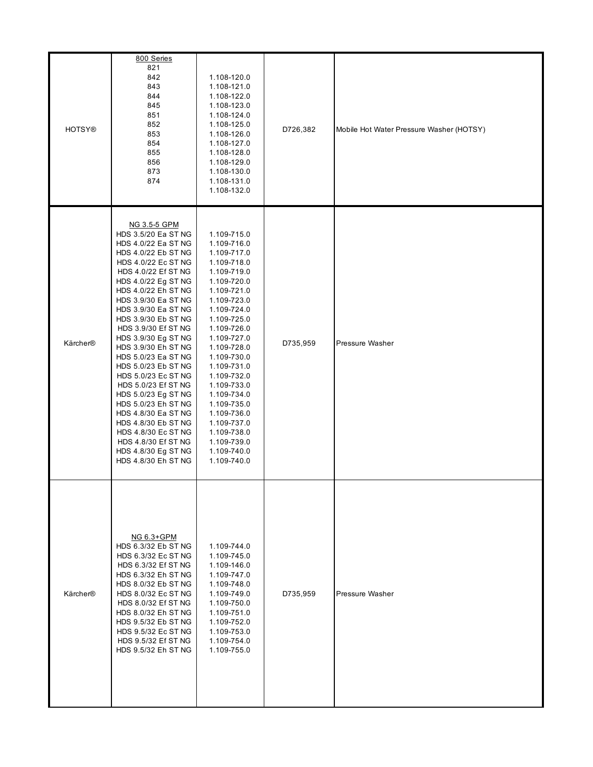| <b>HOTSY®</b> | 800 Series<br>821<br>842<br>843<br>844<br>845<br>851<br>852<br>853<br>854<br>855<br>856<br>873<br>874                                                                                                                                                                                                                                                                                                                                                                                                                                                                                                       | 1.108-120.0<br>1.108-121.0<br>1.108-122.0<br>1.108-123.0<br>1.108-124.0<br>1.108-125.0<br>1.108-126.0<br>1.108-127.0<br>1.108-128.0<br>1.108-129.0<br>1.108-130.0<br>1.108-131.0<br>1.108-132.0                                                                                                                                                                                     | D726,382 | Mobile Hot Water Pressure Washer (HOTSY) |
|---------------|-------------------------------------------------------------------------------------------------------------------------------------------------------------------------------------------------------------------------------------------------------------------------------------------------------------------------------------------------------------------------------------------------------------------------------------------------------------------------------------------------------------------------------------------------------------------------------------------------------------|-------------------------------------------------------------------------------------------------------------------------------------------------------------------------------------------------------------------------------------------------------------------------------------------------------------------------------------------------------------------------------------|----------|------------------------------------------|
| Kärcher®      | NG 3.5-5 GPM<br>HDS 3.5/20 Ea ST NG<br>HDS 4.0/22 Ea ST NG<br>HDS 4.0/22 Eb ST NG<br>HDS 4.0/22 Ec ST NG<br>HDS 4.0/22 Ef ST NG<br>HDS 4.0/22 Eg ST NG<br>HDS 4.0/22 Eh ST NG<br>HDS 3.9/30 Ea ST NG<br>HDS 3.9/30 Ea ST NG<br>HDS 3.9/30 Eb ST NG<br>HDS 3.9/30 Ef ST NG<br>HDS 3.9/30 Eg ST NG<br>HDS 3.9/30 Eh ST NG<br>HDS 5.0/23 Ea ST NG<br>HDS 5.0/23 Eb ST NG<br>HDS 5.0/23 Ec ST NG<br>HDS 5.0/23 Ef ST NG<br>HDS 5.0/23 Eg ST NG<br>HDS 5.0/23 Eh ST NG<br>HDS 4.8/30 Ea ST NG<br>HDS 4.8/30 Eb ST NG<br>HDS 4.8/30 Ec ST NG<br>HDS 4.8/30 Ef ST NG<br>HDS 4.8/30 Eg ST NG<br>HDS 4.8/30 Eh ST NG | 1.109-715.0<br>1.109-716.0<br>1.109-717.0<br>1.109-718.0<br>1.109-719.0<br>1.109-720.0<br>1.109-721.0<br>1.109-723.0<br>1.109-724.0<br>1.109-725.0<br>1.109-726.0<br>1.109-727.0<br>1.109-728.0<br>1.109-730.0<br>1.109-731.0<br>1.109-732.0<br>1.109-733.0<br>1.109-734.0<br>1.109-735.0<br>1.109-736.0<br>1.109-737.0<br>1.109-738.0<br>1.109-739.0<br>1.109-740.0<br>1.109-740.0 | D735,959 | Pressure Washer                          |
| Kärcher®      | NG 6.3+GPM<br>HDS 6.3/32 Eb ST NG<br>HDS 6.3/32 Ec ST NG<br>HDS 6.3/32 Ef ST NG<br>HDS 6.3/32 Eh ST NG<br>HDS 8.0/32 Eb ST NG<br>HDS 8.0/32 Ec ST NG<br>HDS 8.0/32 Ef ST NG<br>HDS 8.0/32 Eh ST NG<br>HDS 9.5/32 Eb ST NG<br>HDS 9.5/32 Ec ST NG<br>HDS 9.5/32 Ef ST NG<br>HDS 9.5/32 Eh ST NG                                                                                                                                                                                                                                                                                                              | 1.109-744.0<br>1.109-745.0<br>1.109-146.0<br>1.109-747.0<br>1.109-748.0<br>1.109-749.0<br>1.109-750.0<br>1.109-751.0<br>1.109-752.0<br>1.109-753.0<br>1.109-754.0<br>1.109-755.0                                                                                                                                                                                                    | D735,959 | Pressure Washer                          |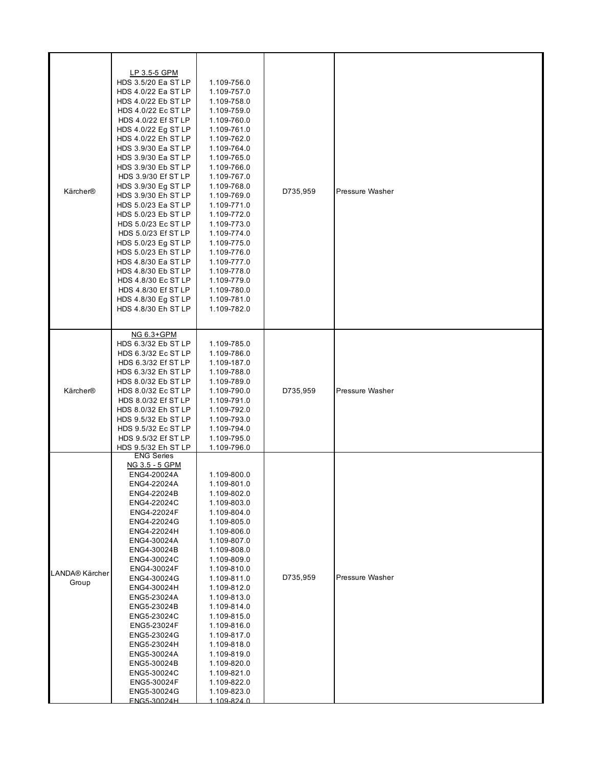| Kärcher®                | LP 3.5-5 GPM<br>HDS 3.5/20 Ea ST LP<br>HDS 4.0/22 Ea ST LP<br>HDS 4.0/22 Eb ST LP<br>HDS 4.0/22 Ec ST LP<br>HDS 4.0/22 Ef ST LP<br>HDS 4.0/22 Eg ST LP<br>HDS 4.0/22 Eh ST LP<br>HDS 3.9/30 Ea ST LP<br>HDS 3.9/30 Ea ST LP<br>HDS 3.9/30 Eb ST LP<br>HDS 3.9/30 Ef ST LP<br>HDS 3.9/30 Eg ST LP<br>HDS 3.9/30 Eh ST LP<br>HDS 5.0/23 Ea ST LP<br>HDS 5.0/23 Eb ST LP<br>HDS 5.0/23 Ec ST LP<br>HDS 5.0/23 Ef ST LP<br>HDS 5.0/23 Eg ST LP<br>HDS 5.0/23 Eh ST LP<br>HDS 4.8/30 Ea ST LP<br>HDS 4.8/30 Eb ST LP<br>HDS 4.8/30 Ec ST LP<br>HDS 4.8/30 Ef ST LP<br>HDS 4.8/30 Eg ST LP<br>HDS 4.8/30 Eh ST LP | 1.109-756.0<br>1.109-757.0<br>1.109-758.0<br>1.109-759.0<br>1.109-760.0<br>1.109-761.0<br>1.109-762.0<br>1.109-764.0<br>1.109-765.0<br>1.109-766.0<br>1.109-767.0<br>1.109-768.0<br>1.109-769.0<br>1.109-771.0<br>1.109-772.0<br>1.109-773.0<br>1.109-774.0<br>1.109-775.0<br>1.109-776.0<br>1.109-777.0<br>1.109-778.0<br>1.109-779.0<br>1.109-780.0<br>1.109-781.0<br>1.109-782.0 | D735,959 | Pressure Washer |
|-------------------------|-------------------------------------------------------------------------------------------------------------------------------------------------------------------------------------------------------------------------------------------------------------------------------------------------------------------------------------------------------------------------------------------------------------------------------------------------------------------------------------------------------------------------------------------------------------------------------------------------------------|-------------------------------------------------------------------------------------------------------------------------------------------------------------------------------------------------------------------------------------------------------------------------------------------------------------------------------------------------------------------------------------|----------|-----------------|
| Kärcher®                | NG 6.3+GPM<br>HDS 6.3/32 Eb ST LP<br>HDS 6.3/32 Ec ST LP<br>HDS 6.3/32 Ef ST LP<br>HDS 6.3/32 Eh ST LP<br>HDS 8.0/32 Eb ST LP<br>HDS 8.0/32 Ec ST LP<br>HDS 8.0/32 Ef ST LP<br>HDS 8.0/32 Eh ST LP<br>HDS 9.5/32 Eb ST LP<br>HDS 9.5/32 Ec ST LP<br>HDS 9.5/32 Ef ST LP<br>HDS 9.5/32 Eh ST LP                                                                                                                                                                                                                                                                                                              | 1.109-785.0<br>1.109-786.0<br>1.109-187.0<br>1.109-788.0<br>1.109-789.0<br>1.109-790.0<br>1.109-791.0<br>1.109-792.0<br>1.109-793.0<br>1.109-794.0<br>1.109-795.0<br>1.109-796.0                                                                                                                                                                                                    | D735,959 | Pressure Washer |
| LANDA® Kärcher<br>Group | <b>ENG Series</b><br>NG 3.5 - 5 GPM<br>ENG4-20024A<br>FNG4-22024A<br>ENG4-22024B<br>ENG4-22024C<br>ENG4-22024F<br>ENG4-22024G<br>ENG4-22024H<br>ENG4-30024A<br>ENG4-30024B<br>ENG4-30024C<br>ENG4-30024F<br>ENG4-30024G<br>ENG4-30024H<br>ENG5-23024A<br>ENG5-23024B<br>ENG5-23024C<br>ENG5-23024F<br>ENG5-23024G<br>ENG5-23024H<br>ENG5-30024A<br>ENG5-30024B<br>ENG5-30024C<br>ENG5-30024F<br>ENG5-30024G<br>FNG5-30024H                                                                                                                                                                                  | 1.109-800.0<br>1.109-801.0<br>1.109-802.0<br>1.109-803.0<br>1.109-804.0<br>1.109-805.0<br>1.109-806.0<br>1.109-807.0<br>1.109-808.0<br>1.109-809.0<br>1.109-810.0<br>1.109-811.0<br>1.109-812.0<br>1.109-813.0<br>1.109-814.0<br>1.109-815.0<br>1.109-816.0<br>1.109-817.0<br>1.109-818.0<br>1.109-819.0<br>1.109-820.0<br>1.109-821.0<br>1.109-822.0<br>1.109-823.0<br>1 109-824 0 | D735,959 | Pressure Washer |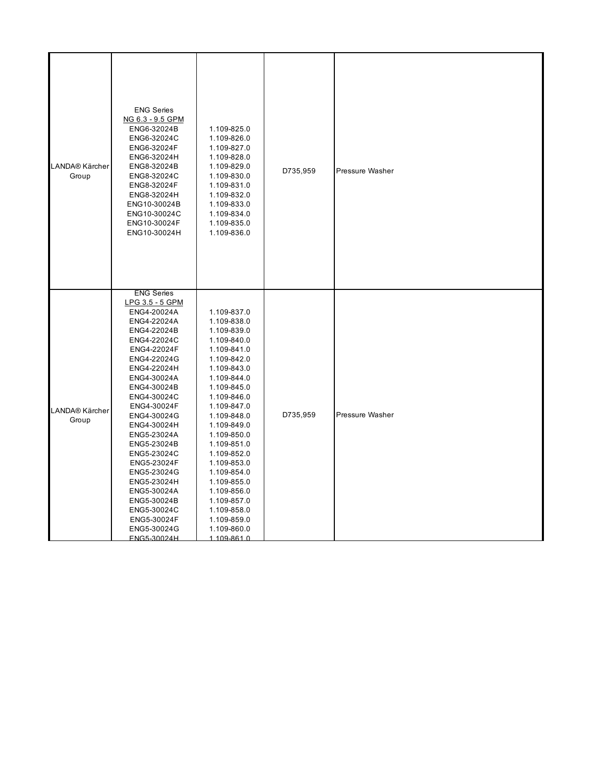| LANDA® Kärcher<br>Group | <b>ENG Series</b><br>NG 6.3 - 9.5 GPM<br>ENG6-32024B<br>ENG6-32024C<br>ENG6-32024F<br>ENG6-32024H<br>ENG8-32024B<br>ENG8-32024C<br>ENG8-32024F<br>ENG8-32024H<br>ENG10-30024B<br>ENG10-30024C<br>ENG10-30024F<br>ENG10-30024H                                                                                                                                                                                               | 1.109-825.0<br>1.109-826.0<br>1.109-827.0<br>1.109-828.0<br>1.109-829.0<br>1.109-830.0<br>1.109-831.0<br>1.109-832.0<br>1.109-833.0<br>1.109-834.0<br>1.109-835.0<br>1.109-836.0                                                                                                                                                                                                    | D735,959 | Pressure Washer |
|-------------------------|-----------------------------------------------------------------------------------------------------------------------------------------------------------------------------------------------------------------------------------------------------------------------------------------------------------------------------------------------------------------------------------------------------------------------------|-------------------------------------------------------------------------------------------------------------------------------------------------------------------------------------------------------------------------------------------------------------------------------------------------------------------------------------------------------------------------------------|----------|-----------------|
| LANDA® Kärcher<br>Group | <b>ENG Series</b><br>LPG 3.5 - 5 GPM<br>ENG4-20024A<br>ENG4-22024A<br>ENG4-22024B<br>ENG4-22024C<br>ENG4-22024F<br>ENG4-22024G<br>ENG4-22024H<br>ENG4-30024A<br>ENG4-30024B<br>ENG4-30024C<br>ENG4-30024F<br>ENG4-30024G<br>ENG4-30024H<br>ENG5-23024A<br>ENG5-23024B<br>ENG5-23024C<br>ENG5-23024F<br>ENG5-23024G<br>ENG5-23024H<br>ENG5-30024A<br>ENG5-30024B<br>ENG5-30024C<br>ENG5-30024F<br>ENG5-30024G<br>FNG5-30024H | 1.109-837.0<br>1.109-838.0<br>1.109-839.0<br>1.109-840.0<br>1.109-841.0<br>1.109-842.0<br>1.109-843.0<br>1.109-844.0<br>1.109-845.0<br>1.109-846.0<br>1.109-847.0<br>1.109-848.0<br>1.109-849.0<br>1.109-850.0<br>1.109-851.0<br>1.109-852.0<br>1.109-853.0<br>1.109-854.0<br>1.109-855.0<br>1.109-856.0<br>1.109-857.0<br>1.109-858.0<br>1.109-859.0<br>1.109-860.0<br>1 109-861 0 | D735,959 | Pressure Washer |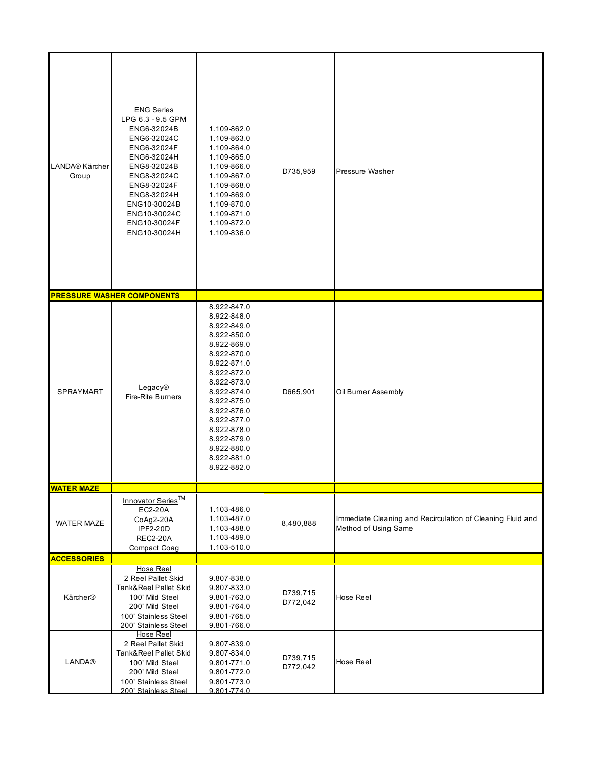| LANDA® Kärcher<br>Group | <b>ENG Series</b><br>LPG 6.3 - 9.5 GPM<br>ENG6-32024B<br>ENG6-32024C<br>ENG6-32024F<br>ENG6-32024H<br>ENG8-32024B<br>ENG8-32024C<br>ENG8-32024F<br>ENG8-32024H<br>ENG10-30024B<br>ENG10-30024C<br>ENG10-30024F<br>ENG10-30024H | 1.109-862.0<br>1.109-863.0<br>1.109-864.0<br>1.109-865.0<br>1.109-866.0<br>1.109-867.0<br>1.109-868.0<br>1.109-869.0<br>1.109-870.0<br>1.109-871.0<br>1.109-872.0<br>1.109-836.0                                                                                           | D735,959             | Pressure Washer                                                                    |
|-------------------------|--------------------------------------------------------------------------------------------------------------------------------------------------------------------------------------------------------------------------------|----------------------------------------------------------------------------------------------------------------------------------------------------------------------------------------------------------------------------------------------------------------------------|----------------------|------------------------------------------------------------------------------------|
|                         | <b>PRESSURE WASHER COMPONENTS</b>                                                                                                                                                                                              |                                                                                                                                                                                                                                                                            |                      |                                                                                    |
| <b>SPRAYMART</b>        | Legacy®<br><b>Fire-Rite Burners</b>                                                                                                                                                                                            | 8.922-847.0<br>8.922-848.0<br>8.922-849.0<br>8.922-850.0<br>8.922-869.0<br>8.922-870.0<br>8.922-871.0<br>8.922-872.0<br>8.922-873.0<br>8.922-874.0<br>8.922-875.0<br>8.922-876.0<br>8.922-877.0<br>8.922-878.0<br>8.922-879.0<br>8.922-880.0<br>8.922-881.0<br>8.922-882.0 | D665,901             | Oil Burner Assembly                                                                |
| <u>WATER MAZE</u>       |                                                                                                                                                                                                                                |                                                                                                                                                                                                                                                                            |                      |                                                                                    |
| <b>WATER MAZE</b>       | Innovator Series <sup>TM</sup><br>EC2-20A<br>CoAg2-20A<br><b>IPF2-20D</b><br><b>REC2-20A</b><br>Compact Coag                                                                                                                   | 1.103-486.0<br>1.103-487.0<br>1.103-488.0<br>1.103-489.0<br>1.103-510.0                                                                                                                                                                                                    | 8,480,888            | Immediate Cleaning and Recirculation of Cleaning Fluid and<br>Method of Using Same |
| <b>ACCESSORIES</b>      |                                                                                                                                                                                                                                |                                                                                                                                                                                                                                                                            |                      |                                                                                    |
| Kärcher®                | <b>Hose Reel</b><br>2 Reel Pallet Skid<br>Tank&Reel Pallet Skid<br>100' Mild Steel<br>200' Mild Steel<br>100' Stainless Steel<br>200' Stainless Steel                                                                          | 9.807-838.0<br>9.807-833.0<br>9.801-763.0<br>9.801-764.0<br>9.801-765.0<br>9.801-766.0                                                                                                                                                                                     | D739,715<br>D772,042 | Hose Reel                                                                          |
| <b>LANDA®</b>           | Hose Reel<br>2 Reel Pallet Skid<br>Tank&Reel Pallet Skid<br>100' Mild Steel<br>200' Mild Steel<br>100' Stainless Steel<br>200' Stainless Steel                                                                                 | 9.807-839.0<br>9.807-834.0<br>9.801-771.0<br>9.801-772.0<br>9.801-773.0<br>9801-7740                                                                                                                                                                                       | D739,715<br>D772,042 | Hose Reel                                                                          |